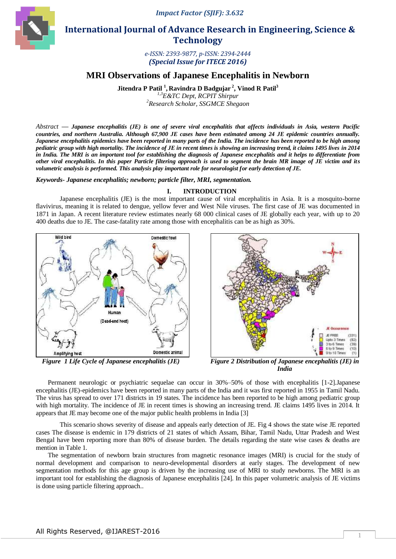*Impact Factor (SJIF): 3.632*



 **International Journal of Advance Research in Engineering, Science & Technology** 

> *e-ISSN: 2393-9877, p-ISSN: 2394-2444 (Special Issue for ITECE 2016)*

# **MRI Observations of Japanese Encephalitis in Newborn**

**Jitendra P Patil <sup>1</sup> , Ravindra D Badgujar <sup>2</sup> , Vinod R Patil<sup>3</sup>**

*1,3E&TC Dept, RCPIT Shirpur <sup>2</sup>Research Scholar, SSGMCE Shegaon*

*Abstract* **—** *Japanese encephalitis (JE) is one of severe viral encephalitis that affects individuals in Asia, western Pacific countries, and northern Australia. Although 67,900 JE cases have been estimated among 24 JE epidemic countries annually. Japanese encephalitis epidemics have been reported in many parts of the India. The incidence has been reported to be high among pediatric group with high mortality. The incidence of JE in recent times is showing an increasing trend, it claims 1495 lives in 2014 in India. The MRI is an important tool for establishing the diagnosis of Japanese encephalitis and it helps to differentiate from other viral encephalitis. In this paper Particle filtering approach is used to segment the brain MR image of JE victim and its volumetric analysis is performed. This analysis play important role for neurologist for early detection of JE.*

*Keywords- Japanese encephalitis; newborn; particle filter, MRI, segmentation.*

## **I. INTRODUCTION**

Japanese encephalitis (JE) is the most important cause of viral encephalitis in Asia. It is a mosquito-borne flavivirus, meaning it is related to dengue, yellow fever and West Nile viruses. The first case of JE was documented in 1871 in Japan. A recent literature review estimates nearly 68 000 clinical cases of JE globally each year, with up to 20 400 deaths due to JE. The case-fatality rate among those with encephalitis can be as high as 30%.





*Figure 1 Life Cycle of Japanese encephalitis (JE) Figure 2 Distribution of Japanese encephalitis (JE) in India*

Permanent neurologic or psychiatric sequelae can occur in 30%–50% of those with encephalitis [1-2].Japanese encephalitis (JE)-epidemics have been reported in many parts of the India and it was first reported in 1955 in Tamil Nadu. The virus has spread to over 171 districts in 19 states. The incidence has been reported to be high among pediatric group with high mortality. The incidence of JE in recent times is showing an increasing trend. JE claims 1495 lives in 2014. It appears that JE may become one of the major public health problems in India [3]

This scenario shows severity of disease and appeals early detection of JE. Fig 4 shows the state wise JE reported cases The disease is endemic in 179 districts of 21 states of which Assam, Bihar, Tamil Nadu, Uttar Pradesh and West Bengal have been reporting more than 80% of disease burden. The details regarding the state wise cases & deaths are mention in Table 1.

The segmentation of newborn brain structures from magnetic resonance images (MRI) is crucial for the study of normal development and comparison to neuro-developmental disorders at early stages. The development of new segmentation methods for this age group is driven by the increasing use of MRI to study newborns. The MRI is an important tool for establishing the diagnosis of Japanese encephalitis [24]. In this paper volumetric analysis of JE victims is done using particle filtering approach..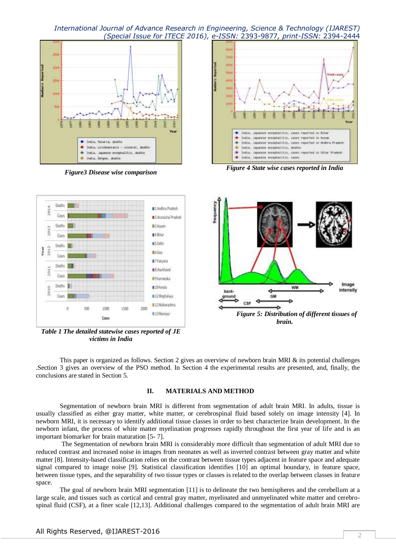



*Figure3 Disease wise comparison Figure 4 State wise cases reported in India*



*Table 1 The detailed statewise cases reported of JE victims in India*

This paper is organized as follows. Section 2 gives an overview of newborn brain MRI & its potential challenges .Section 3 gives an overview of the PSO method. In Section 4 the experimental results are presented, and, finally, the conclusions are stated in Section 5.

### **II. MATERIALS AND METHOD**

Segmentation of newborn brain MRI is different from segmentation of adult brain MRI. In adults, tissue is usually classified as either gray matter, white matter, or cerebrospinal fluid based solely on image intensity [4]. In newborn MRI, it is necessary to identify additional tissue classes in order to best characterize brain development. In the newborn infant, the process of white matter myelination progresses rapidly throughout the first year of life and is an important biomarker for brain maturation [5- 7].

The Segmentation of newborn brain MRI is considerably more difficult than segmentation of adult MRI due to reduced contrast and increased noise in images from neonates as well as inverted contrast between gray matter and white matter [8]. Intensity-based classification relies on the contrast between tissue types adjacent in feature space and adequate signal compared to image noise [9]. Statistical classification identifies [10] an optimal boundary, in feature space, between tissue types, and the separability of two tissue types or classes is related to the overlap between classes in feature space.

The goal of newborn brain MRI segmentation [11] is to delineate the two hemispheres and the cerebellum at a large scale, and tissues such as cortical and central gray matter, myelinated and unmyelinated white matter and cerebrospinal fluid (CSF), at a finer scale [12,13]. Additional challenges compared to the segmentation of adult brain MRI are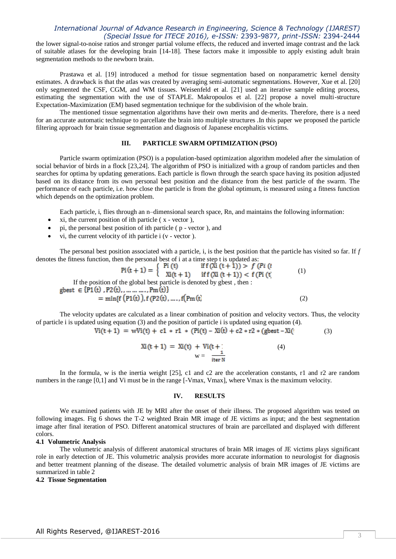the lower signal-to-noise ratios and stronger partial volume effects, the reduced and inverted image contrast and the lack of suitable atlases for the developing brain [14-18]. These factors make it impossible to apply existing adult brain segmentation methods to the newborn brain.

Prastawa et al. [19] introduced a method for tissue segmentation based on nonparametric kernel density estimates. A drawback is that the atlas was created by averaging semi-automatic segmentations. However, Xue et al. [20] only segmented the CSF, CGM, and WM tissues. Weisenfeld et al. [21] used an iterative sample editing process, estimating the segmentation with the use of STAPLE. Makropoulos et al. [22] propose a novel multi-structure Expectation-Maximization (EM) based segmentation technique for the subdivision of the whole brain.

The mentioned tissue segmentation algorithms have their own merits and de-merits. Therefore, there is a need for an accurate automatic technique to parcellate the brain into multiple structures .In this paper we proposed the particle filtering approach for brain tissue segmentation and diagnosis of Japanese encephalitis victims.

## **III. PARTICLE SWARM OPTIMIZATION (PSO)**

Particle swarm optimization (PSO) is a population-based optimization algorithm modeled after the simulation of social behavior of birds in a flock [23,24]. The algorithm of PSO is initialized with a group of random particles and then searches for optima by updating generations. Each particle is flown through the search space having its position adjusted based on its distance from its own personal best position and the distance from the best particle of the swarm. The performance of each particle, i.e. how close the particle is from the global optimum, is measured using a fitness function which depends on the optimization problem.

Each particle, i, flies through an n–dimensional search space, Rn, and maintains the following information:

- xi, the current position of ith particle ( x vector ),
- pi, the personal best position of ith particle ( p vector ), and
- vi, the current velocity of ith particle i (v vector ).

The personal best position associated with a particle, i, is the best position that the particle has visited so far. If *f*  denotes the fitness function, then the personal best of i at a time step t is updated as:

$$
Pi(t + 1) = \begin{cases} Pi(t) & \text{if } f(Xi(t + 1)) > f(Pi(t)) \\ Xi(t + 1) & \text{if } f(Xi(t + 1)) < f(Pi(t)) \\ \text{of the global best particle is denoted by gbest, then} \end{cases}
$$
(1)

If the position of the global best particle gbest  $\in \{P1(t), P2(t), \ldots, \ldots, Pm(t)\}\$ =  $min{f(P1(t))}, f(P2(t), ..., f(Pm(t))$  (2)

The velocity updates are calculated as a linear combination of position and velocity vectors. Thus, the velocity of particle i is updated using equation (3) and the position of particle i is updated using equation (4).

$$
Vi(t+1) = wVi(t) + c1 * r1 * (Pi(t) - Xi(t) + c2 * r2 * (gbest - Xi(t))
$$
\n(3)

$$
Xi(t + 1) = Xi(t) + Vi(t + i)
$$
  
 
$$
w = \frac{1}{i \tan N}
$$
 (4)

In the formula, w is the inertia weight [25], c1 and c2 are the acceleration constants, r1 and r2 are random numbers in the range [0,1] and Vi must be in the range [-Vmax, Vmax], where Vmax is the maximum velocity.

### **IV. RESULTS**

We examined patients with JE by MRI after the onset of their illness. The proposed algorithm was tested on following images. Fig 6 shows the T-2 weighted Brain MR image of JE victims as input; and the best segmentation image after final iteration of PSO. Different anatomical structures of brain are parcellated and displayed with different colors.

#### **4.1 Volumetric Analysis**

The volumetric analysis of different anatomical structures of brain MR images of JE victims plays significant role in early detection of JE. This volumetric analysis provides more accurate information to neurologist for diagnosis and better treatment planning of the disease. The detailed volumetric analysis of brain MR images of JE victims are summarized in table 2

### **4.2 Tissue Segmentation**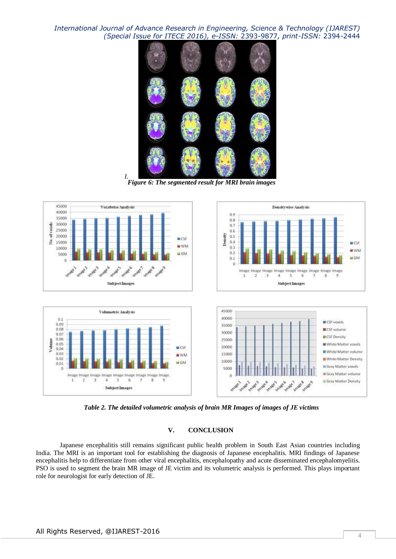

*Figure 6: The segmented result for MRI brain images*

*I.*



*Table 2. The detailed volumetric analysis of brain MR Images of images of JE victims*

## **V. CONCLUSION**

Japanese encephalitis still remains significant public health problem in South East Asian countries including India. The MRI is an important tool for establishing the diagnosis of Japanese encephalitis. MRI findings of Japanese encephalitis help to differentiate from other viral encephalitis, encephalopathy and acute disseminated encephalomyelitis. PSO is used to segment the brain MR image of JE victim and its volumetric analysis is performed. This plays important role for neurologist for early detection of JE.